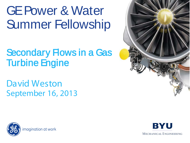# GE Power & Water Summer Fellowship

#### Secondary Flows in a Gas Turbine Engine

#### David Weston September 16, 2013





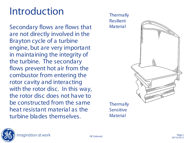Secondary flows are flows that are not directly involved in the Brayton cycle of a turbine engine, but are very important in maintaining the integrity of the turbine. The secondary flows prevent hot air from the combustor from entering the rotor cavity and interacting with the rotor disc. In this way, the rotor disc does not have to be constructed from the same heat resistant material as the turbine blades themselves.



**Thermally** Sensitive **Material**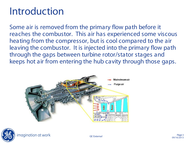Some air is removed from the primary flow path before it reaches the combustor. This air has experienced some viscous heating from the compressor, but is cool compared to the air leaving the combustor. It is injected into the primary flow path through the gaps between turbine rotor/stator stages and keeps hot air from entering the hub cavity through those gaps.



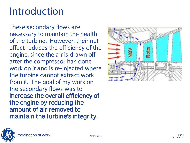These secondary flows are necessary to maintain the health of the turbine. However, their net effect reduces the efficiency of the engine, since the air is drawn off after the compressor has done work on it and is re -injected where the turbine cannot extract work from it. The goal of my work on the secondary flows was to increase the overall efficiency of the engine by reducing the amount of air removed to maintain the turbine's integrity .

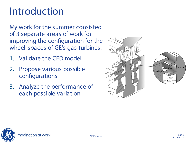My work for the summer consisted of 3 separate areas of work for improving the configuration for the wheel-spaces of GE's gas turbines.

- 1. Validate the CFD model
- 2. Propose various possible configurations
- 3. Analyze the performance of each possible variation



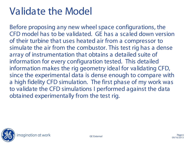Before proposing any new wheel space configurations, the CFD model has to be validated. GE has a scaled down version of their turbine that uses heated air from a compressor to simulate the air from the combustor. This test rig has a dense array of instrumentation that obtains a detailed suite of information for every configuration tested. This detailed information makes the rig geometry ideal for validating CFD, since the experimental data is dense enough to compare with a high fidelity CFD simulation. The first phase of my work was to validate the CFD simulations I performed against the data obtained experimentally from the test rig.

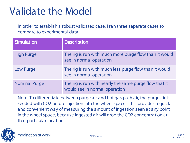In order to establish a robust validated case, I ran three separate cases to compare to experimental data.

| <b>Simulation</b>    | <b>Description</b>                                                                      |
|----------------------|-----------------------------------------------------------------------------------------|
| <b>High Purge</b>    | The rig is run with much more purge flow than it would<br>see in normal operation       |
| <b>Low Purge</b>     | The rig is run with much less purge flow than it would<br>see in normal operation       |
| <b>Nominal Purge</b> | The rig is run with nearly the same purge flow that it<br>would see in normal operation |

Note: To differentiate between purge air and hot gas path air, the purge air is seeded with CO2 before injection into the wheel space. This provides a quick and convenient way of measuring the amount of ingestion seen at any point in the wheel space, because ingested air will drop the CO2 concentration at that particular location.

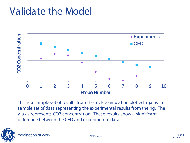

This is a sample set of results from the a CFD simulation plotted against a sample set of data representing the experimental results from the rig. The y-axis represents CO2 concentration. These results show a significant difference between the CFD and experimental data.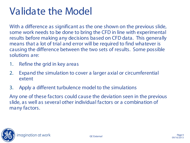With a difference as significant as the one shown on the previous slide, some work needs to be done to bring the CFD in line with experimental results before making any decisions based on CFD data. This generally means that a lot of trial and error will be required to find whatever is causing the difference between the two sets of results. Some possible solutions are:

- 1. Refine the grid in key areas
- 2. Expand the simulation to cover a larger axial or circumferential extent
- 3. Apply a different turbulence model to the simulations

Any one of these factors could cause the deviation seen in the previous slide, as well as several other individual factors or a combination of many factors.

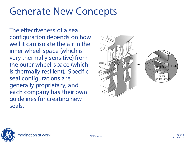#### Generate New Concepts

The effectiveness of a seal configuration depends on how well it can isolate the air in the inner wheel-space (which is very thermally sensitive) from the outer wheel-space (which is thermally resilient). Specific seal configurations are generally proprietary, and each company has their own guidelines for creating new seals.



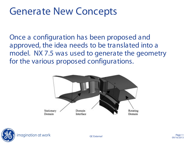#### Generate New Concepts

Once a configuration has been proposed and approved, the idea needs to be translated into a model. NX 7.5 was used to generate the geometry for the various proposed configurations.



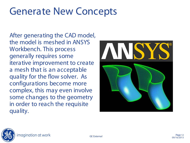#### Generate New Concepts

After generating the CAD model, the model is meshed in ANSYS Workbench. This process generally requires some iterative improvement to create a mesh that is an acceptable quality for the flow solver. As configurations become more complex, this may even involve some changes to the geometry in order to reach the requisite quality.



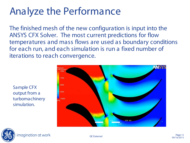## Analyze the Performance

The finished mesh of the new configuration is input into the ANSYS CFX Solver. The most current predictions for flow temperatures and mass flows are used as boundary conditions for each run, and each simulation is run a fixed number of iterations to reach convergence.

Sample CFX output from a turbomachinery simulation.



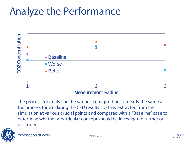### Analyze the Performance



The process for analyzing the various configurations is nearly the same as the process for validating the CFD results. Data is extracted from the simulation at various crucial points and compared with a "Baseline" case to determine whether a particular concept should be investigated further or discarded.

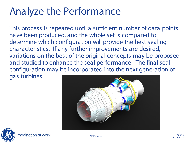## Analyze the Performance

This process is repeated until a sufficient number of data points have been produced, and the whole set is compared to determine which configuration will provide the best sealing characteristics. If any further improvements are desired, variations on the best of the original concepts may be proposed and studied to enhance the seal performance. The final seal configuration may be incorporated into the next generation of gas turbines.